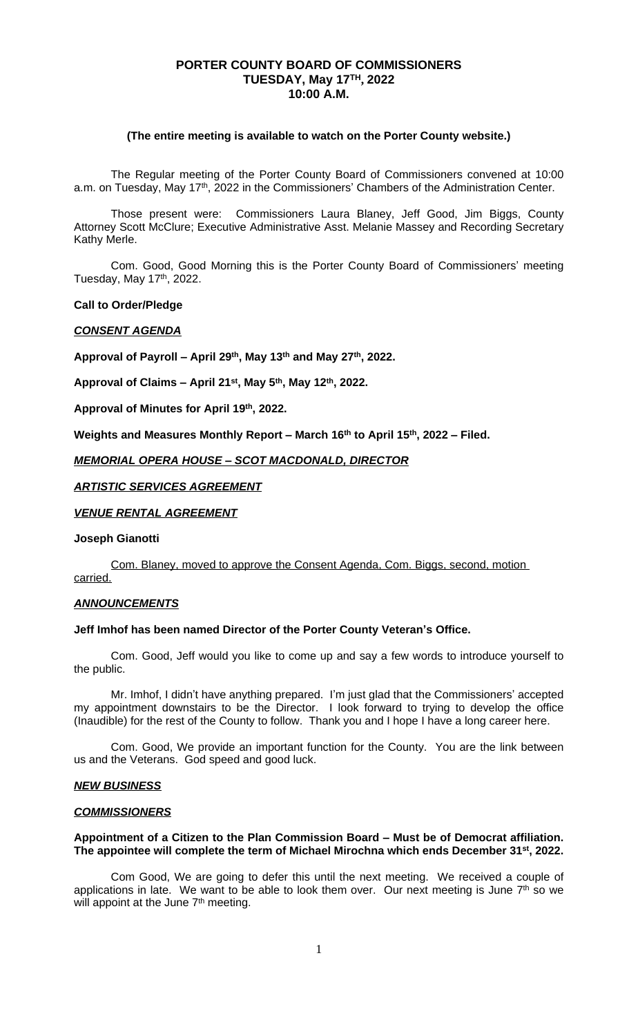## **PORTER COUNTY BOARD OF COMMISSIONERS TUESDAY, May 17TH , 2022 10:00 A.M.**

### **(The entire meeting is available to watch on the Porter County website.)**

The Regular meeting of the Porter County Board of Commissioners convened at 10:00 a.m. on Tuesday, May 17<sup>th</sup>, 2022 in the Commissioners' Chambers of the Administration Center.

Those present were: Commissioners Laura Blaney, Jeff Good, Jim Biggs, County Attorney Scott McClure; Executive Administrative Asst. Melanie Massey and Recording Secretary Kathy Merle.

Com. Good, Good Morning this is the Porter County Board of Commissioners' meeting Tuesday, May 17th, 2022.

### **Call to Order/Pledge**

#### *CONSENT AGENDA*

**Approval of Payroll – April 29th, May 13th and May 27th, 2022.**

**Approval of Claims – April 21st, May 5th, May 12th, 2022.**

**Approval of Minutes for April 19th, 2022.**

**Weights and Measures Monthly Report – March 16th to April 15th, 2022 – Filed.**

### *MEMORIAL OPERA HOUSE – SCOT MACDONALD, DIRECTOR*

## *ARTISTIC SERVICES AGREEMENT*

### *VENUE RENTAL AGREEMENT*

### **Joseph Gianotti**

Com. Blaney, moved to approve the Consent Agenda, Com. Biggs, second, motion carried.

#### *ANNOUNCEMENTS*

# **Jeff Imhof has been named Director of the Porter County Veteran's Office.**

Com. Good, Jeff would you like to come up and say a few words to introduce yourself to the public.

Mr. Imhof, I didn't have anything prepared. I'm just glad that the Commissioners' accepted my appointment downstairs to be the Director. I look forward to trying to develop the office (Inaudible) for the rest of the County to follow. Thank you and I hope I have a long career here.

Com. Good, We provide an important function for the County. You are the link between us and the Veterans. God speed and good luck.

### *NEW BUSINESS*

#### *COMMISSIONERS*

### **Appointment of a Citizen to the Plan Commission Board – Must be of Democrat affiliation. The appointee will complete the term of Michael Mirochna which ends December 31st, 2022.**

Com Good, We are going to defer this until the next meeting. We received a couple of applications in late. We want to be able to look them over. Our next meeting is June 7<sup>th</sup> so we will appoint at the June 7<sup>th</sup> meeting.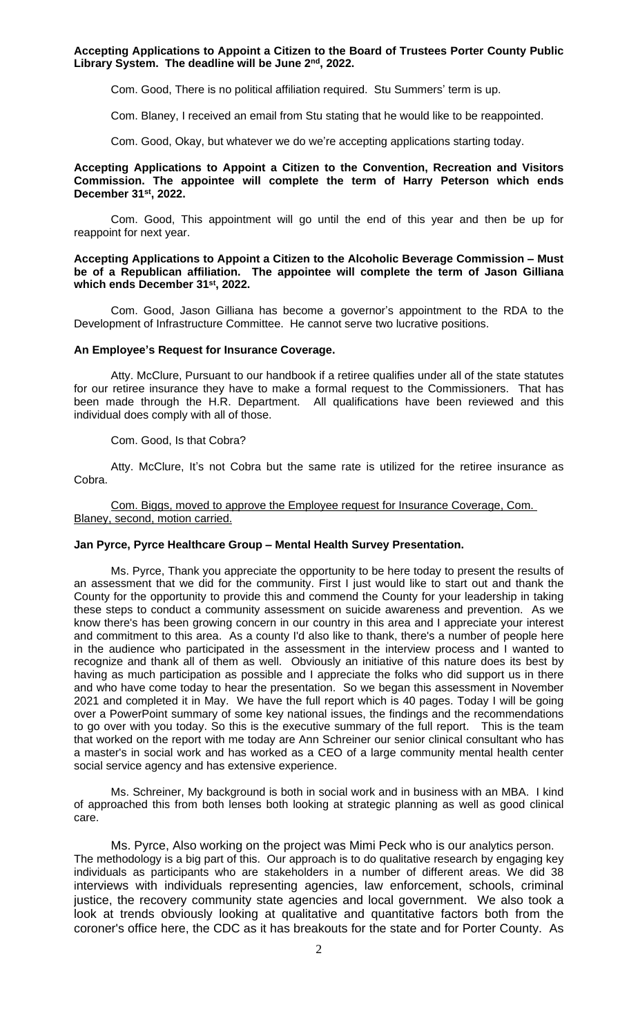**Accepting Applications to Appoint a Citizen to the Board of Trustees Porter County Public Library System. The deadline will be June 2nd, 2022.**

Com. Good, There is no political affiliation required. Stu Summers' term is up.

Com. Blaney, I received an email from Stu stating that he would like to be reappointed.

Com. Good, Okay, but whatever we do we're accepting applications starting today.

### **Accepting Applications to Appoint a Citizen to the Convention, Recreation and Visitors Commission. The appointee will complete the term of Harry Peterson which ends December 31st, 2022.**

Com. Good, This appointment will go until the end of this year and then be up for reappoint for next year.

### **Accepting Applications to Appoint a Citizen to the Alcoholic Beverage Commission – Must be of a Republican affiliation. The appointee will complete the term of Jason Gilliana which ends December 31st, 2022.**

Com. Good, Jason Gilliana has become a governor's appointment to the RDA to the Development of Infrastructure Committee. He cannot serve two lucrative positions.

### **An Employee's Request for Insurance Coverage.**

Atty. McClure, Pursuant to our handbook if a retiree qualifies under all of the state statutes for our retiree insurance they have to make a formal request to the Commissioners. That has been made through the H.R. Department. All qualifications have been reviewed and this individual does comply with all of those.

Com. Good, Is that Cobra?

Atty. McClure, It's not Cobra but the same rate is utilized for the retiree insurance as Cobra.

Com. Biggs, moved to approve the Employee request for Insurance Coverage, Com. Blaney, second, motion carried.

## **Jan Pyrce, Pyrce Healthcare Group – Mental Health Survey Presentation.**

Ms. Pyrce, Thank you appreciate the opportunity to be here today to present the results of an assessment that we did for the community. First I just would like to start out and thank the County for the opportunity to provide this and commend the County for your leadership in taking these steps to conduct a community assessment on suicide awareness and prevention. As we know there's has been growing concern in our country in this area and I appreciate your interest and commitment to this area. As a county I'd also like to thank, there's a number of people here in the audience who participated in the assessment in the interview process and I wanted to recognize and thank all of them as well. Obviously an initiative of this nature does its best by having as much participation as possible and I appreciate the folks who did support us in there and who have come today to hear the presentation. So we began this assessment in November 2021 and completed it in May. We have the full report which is 40 pages. Today I will be going over a PowerPoint summary of some key national issues, the findings and the recommendations to go over with you today. So this is the executive summary of the full report. This is the team that worked on the report with me today are Ann Schreiner our senior clinical consultant who has a master's in social work and has worked as a CEO of a large community mental health center social service agency and has extensive experience.

Ms. Schreiner, My background is both in social work and in business with an MBA. I kind of approached this from both lenses both looking at strategic planning as well as good clinical care.

Ms. Pyrce, Also working on the project was Mimi Peck who is our analytics person. The methodology is a big part of this. Our approach is to do qualitative research by engaging key individuals as participants who are stakeholders in a number of different areas. We did 38 interviews with individuals representing agencies, law enforcement, schools, criminal justice, the recovery community state agencies and local government. We also took a look at trends obviously looking at qualitative and quantitative factors both from the coroner's office here, the CDC as it has breakouts for the state and for Porter County. As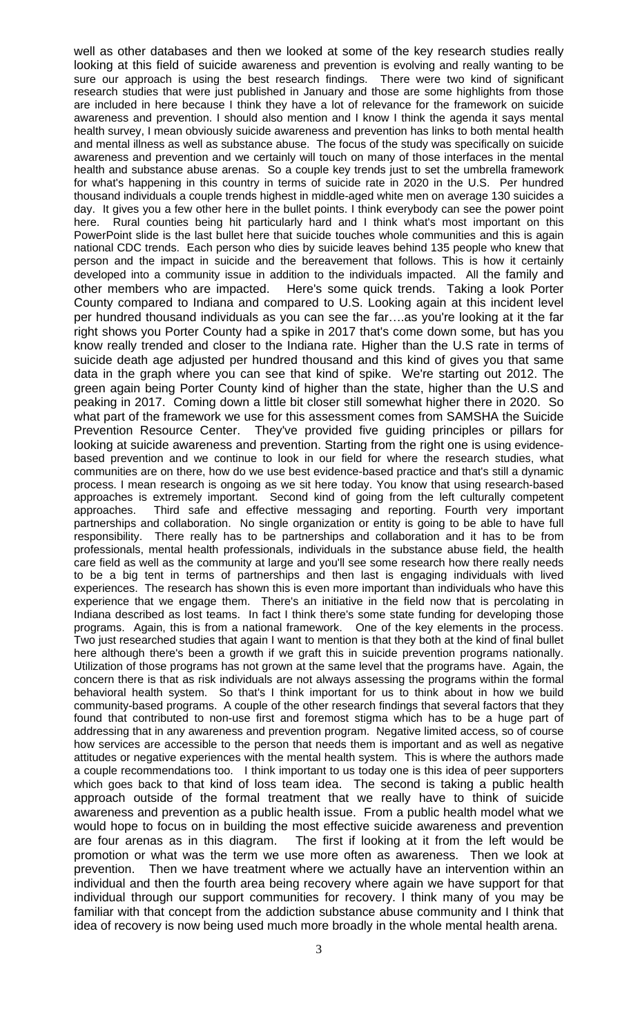well as other databases and then we looked at some of the key research studies really looking at this field of suicide awareness and prevention is evolving and really wanting to be sure our approach is using the best research findings. There were two kind of significant research studies that were just published in January and those are some highlights from those are included in here because I think they have a lot of relevance for the framework on suicide awareness and prevention. I should also mention and I know I think the agenda it says mental health survey, I mean obviously suicide awareness and prevention has links to both mental health and mental illness as well as substance abuse. The focus of the study was specifically on suicide awareness and prevention and we certainly will touch on many of those interfaces in the mental health and substance abuse arenas. So a couple key trends just to set the umbrella framework for what's happening in this country in terms of suicide rate in 2020 in the U.S. Per hundred thousand individuals a couple trends highest in middle-aged white men on average 130 suicides a day. It gives you a few other here in the bullet points. I think everybody can see the power point here. Rural counties being hit particularly hard and I think what's most important on this PowerPoint slide is the last bullet here that suicide touches whole communities and this is again national CDC trends. Each person who dies by suicide leaves behind 135 people who knew that person and the impact in suicide and the bereavement that follows. This is how it certainly developed into a community issue in addition to the individuals impacted. All the family and other members who are impacted. Here's some quick trends. Taking a look Porter County compared to Indiana and compared to U.S. Looking again at this incident level per hundred thousand individuals as you can see the far….as you're looking at it the far right shows you Porter County had a spike in 2017 that's come down some, but has you know really trended and closer to the Indiana rate. Higher than the U.S rate in terms of suicide death age adjusted per hundred thousand and this kind of gives you that same data in the graph where you can see that kind of spike. We're starting out 2012. The green again being Porter County kind of higher than the state, higher than the U.S and peaking in 2017. Coming down a little bit closer still somewhat higher there in 2020. So what part of the framework we use for this assessment comes from SAMSHA the Suicide Prevention Resource Center. They've provided five guiding principles or pillars for looking at suicide awareness and prevention. Starting from the right one is using evidencebased prevention and we continue to look in our field for where the research studies, what communities are on there, how do we use best evidence-based practice and that's still a dynamic process. I mean research is ongoing as we sit here today. You know that using research-based approaches is extremely important. Second kind of going from the left culturally competent approaches. Third safe and effective messaging and reporting. Fourth very important partnerships and collaboration. No single organization or entity is going to be able to have full responsibility. There really has to be partnerships and collaboration and it has to be from professionals, mental health professionals, individuals in the substance abuse field, the health care field as well as the community at large and you'll see some research how there really needs to be a big tent in terms of partnerships and then last is engaging individuals with lived experiences. The research has shown this is even more important than individuals who have this experience that we engage them. There's an initiative in the field now that is percolating in Indiana described as lost teams. In fact I think there's some state funding for developing those programs. Again, this is from a national framework. One of the key elements in the process. Two just researched studies that again I want to mention is that they both at the kind of final bullet here although there's been a growth if we graft this in suicide prevention programs nationally. Utilization of those programs has not grown at the same level that the programs have. Again, the concern there is that as risk individuals are not always assessing the programs within the formal behavioral health system. So that's I think important for us to think about in how we build community-based programs. A couple of the other research findings that several factors that they found that contributed to non-use first and foremost stigma which has to be a huge part of addressing that in any awareness and prevention program. Negative limited access, so of course how services are accessible to the person that needs them is important and as well as negative attitudes or negative experiences with the mental health system. This is where the authors made a couple recommendations too. I think important to us today one is this idea of peer supporters which goes back to that kind of loss team idea. The second is taking a public health approach outside of the formal treatment that we really have to think of suicide awareness and prevention as a public health issue. From a public health model what we would hope to focus on in building the most effective suicide awareness and prevention are four arenas as in this diagram. The first if looking at it from the left would be promotion or what was the term we use more often as awareness. Then we look at prevention. Then we have treatment where we actually have an intervention within an individual and then the fourth area being recovery where again we have support for that individual through our support communities for recovery. I think many of you may be familiar with that concept from the addiction substance abuse community and I think that idea of recovery is now being used much more broadly in the whole mental health arena.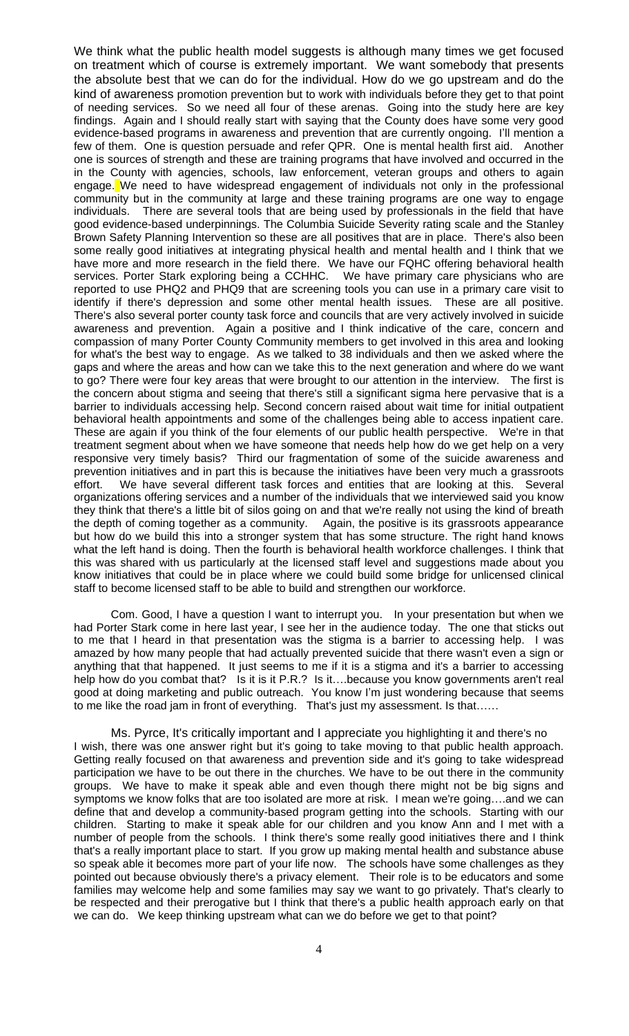We think what the public health model suggests is although many times we get focused on treatment which of course is extremely important. We want somebody that presents the absolute best that we can do for the individual. How do we go upstream and do the kind of awareness promotion prevention but to work with individuals before they get to that point of needing services. So we need all four of these arenas. Going into the study here are key findings. Again and I should really start with saying that the County does have some very good evidence-based programs in awareness and prevention that are currently ongoing. I'll mention a few of them. One is question persuade and refer QPR. One is mental health first aid. Another one is sources of strength and these are training programs that have involved and occurred in the in the County with agencies, schools, law enforcement, veteran groups and others to again engage. We need to have widespread engagement of individuals not only in the professional community but in the community at large and these training programs are one way to engage individuals. There are several tools that are being used by professionals in the field that have good evidence-based underpinnings. The Columbia Suicide Severity rating scale and the Stanley Brown Safety Planning Intervention so these are all positives that are in place. There's also been some really good initiatives at integrating physical health and mental health and I think that we have more and more research in the field there. We have our FQHC offering behavioral health services. Porter Stark exploring being a CCHHC. We have primary care physicians who are reported to use PHQ2 and PHQ9 that are screening tools you can use in a primary care visit to identify if there's depression and some other mental health issues. These are all positive. There's also several porter county task force and councils that are very actively involved in suicide awareness and prevention. Again a positive and I think indicative of the care, concern and compassion of many Porter County Community members to get involved in this area and looking for what's the best way to engage. As we talked to 38 individuals and then we asked where the gaps and where the areas and how can we take this to the next generation and where do we want to go? There were four key areas that were brought to our attention in the interview. The first is the concern about stigma and seeing that there's still a significant sigma here pervasive that is a barrier to individuals accessing help. Second concern raised about wait time for initial outpatient behavioral health appointments and some of the challenges being able to access inpatient care. These are again if you think of the four elements of our public health perspective. We're in that treatment segment about when we have someone that needs help how do we get help on a very responsive very timely basis? Third our fragmentation of some of the suicide awareness and prevention initiatives and in part this is because the initiatives have been very much a grassroots effort. We have several different task forces and entities that are looking at this. Several organizations offering services and a number of the individuals that we interviewed said you know they think that there's a little bit of silos going on and that we're really not using the kind of breath the depth of coming together as a community. Again, the positive is its grassroots appearance but how do we build this into a stronger system that has some structure. The right hand knows what the left hand is doing. Then the fourth is behavioral health workforce challenges. I think that this was shared with us particularly at the licensed staff level and suggestions made about you know initiatives that could be in place where we could build some bridge for unlicensed clinical staff to become licensed staff to be able to build and strengthen our workforce.

Com. Good, I have a question I want to interrupt you. In your presentation but when we had Porter Stark come in here last year, I see her in the audience today. The one that sticks out to me that I heard in that presentation was the stigma is a barrier to accessing help. I was amazed by how many people that had actually prevented suicide that there wasn't even a sign or anything that that happened. It just seems to me if it is a stigma and it's a barrier to accessing help how do you combat that? Is it is it P.R.? Is it....because you know governments aren't real good at doing marketing and public outreach. You know I'm just wondering because that seems to me like the road jam in front of everything. That's just my assessment. Is that……

Ms. Pyrce, It's critically important and I appreciate you highlighting it and there's no I wish, there was one answer right but it's going to take moving to that public health approach. Getting really focused on that awareness and prevention side and it's going to take widespread participation we have to be out there in the churches. We have to be out there in the community groups. We have to make it speak able and even though there might not be big signs and symptoms we know folks that are too isolated are more at risk. I mean we're going….and we can define that and develop a community-based program getting into the schools. Starting with our children. Starting to make it speak able for our children and you know Ann and I met with a number of people from the schools. I think there's some really good initiatives there and I think that's a really important place to start. If you grow up making mental health and substance abuse so speak able it becomes more part of your life now. The schools have some challenges as they pointed out because obviously there's a privacy element. Their role is to be educators and some families may welcome help and some families may say we want to go privately. That's clearly to be respected and their prerogative but I think that there's a public health approach early on that we can do. We keep thinking upstream what can we do before we get to that point?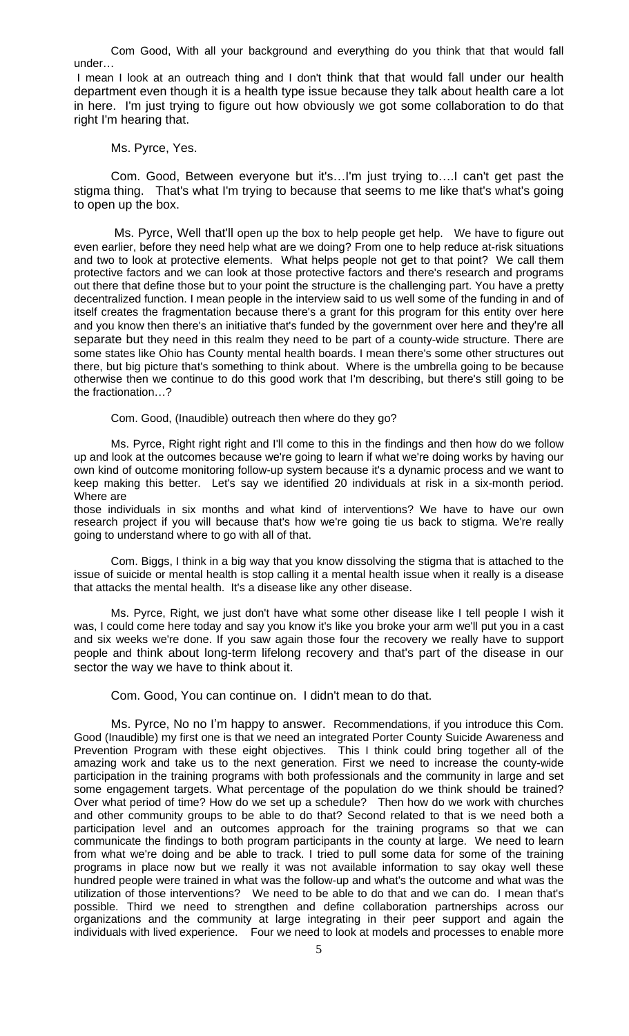Com Good, With all your background and everything do you think that that would fall under…

I mean I look at an outreach thing and I don't think that that would fall under our health department even though it is a health type issue because they talk about health care a lot in here. I'm just trying to figure out how obviously we got some collaboration to do that right I'm hearing that.

## Ms. Pyrce, Yes.

Com. Good, Between everyone but it's…I'm just trying to….I can't get past the stigma thing. That's what I'm trying to because that seems to me like that's what's going to open up the box.

Ms. Pyrce, Well that'll open up the box to help people get help. We have to figure out even earlier, before they need help what are we doing? From one to help reduce at-risk situations and two to look at protective elements. What helps people not get to that point? We call them protective factors and we can look at those protective factors and there's research and programs out there that define those but to your point the structure is the challenging part. You have a pretty decentralized function. I mean people in the interview said to us well some of the funding in and of itself creates the fragmentation because there's a grant for this program for this entity over here and you know then there's an initiative that's funded by the government over here and they're all separate but they need in this realm they need to be part of a county-wide structure. There are some states like Ohio has County mental health boards. I mean there's some other structures out there, but big picture that's something to think about. Where is the umbrella going to be because otherwise then we continue to do this good work that I'm describing, but there's still going to be the fractionation…?

Com. Good, (Inaudible) outreach then where do they go?

Ms. Pyrce, Right right right and I'll come to this in the findings and then how do we follow up and look at the outcomes because we're going to learn if what we're doing works by having our own kind of outcome monitoring follow-up system because it's a dynamic process and we want to keep making this better. Let's say we identified 20 individuals at risk in a six-month period. Where are

those individuals in six months and what kind of interventions? We have to have our own research project if you will because that's how we're going tie us back to stigma. We're really going to understand where to go with all of that.

Com. Biggs, I think in a big way that you know dissolving the stigma that is attached to the issue of suicide or mental health is stop calling it a mental health issue when it really is a disease that attacks the mental health. It's a disease like any other disease.

Ms. Pyrce, Right, we just don't have what some other disease like I tell people I wish it was, I could come here today and say you know it's like you broke your arm we'll put you in a cast and six weeks we're done. If you saw again those four the recovery we really have to support people and think about long-term lifelong recovery and that's part of the disease in our sector the way we have to think about it.

Com. Good, You can continue on. I didn't mean to do that.

Ms. Pyrce, No no I'm happy to answer. Recommendations, if you introduce this Com. Good (Inaudible) my first one is that we need an integrated Porter County Suicide Awareness and Prevention Program with these eight objectives. This I think could bring together all of the amazing work and take us to the next generation. First we need to increase the county-wide participation in the training programs with both professionals and the community in large and set some engagement targets. What percentage of the population do we think should be trained? Over what period of time? How do we set up a schedule? Then how do we work with churches and other community groups to be able to do that? Second related to that is we need both a participation level and an outcomes approach for the training programs so that we can communicate the findings to both program participants in the county at large. We need to learn from what we're doing and be able to track. I tried to pull some data for some of the training programs in place now but we really it was not available information to say okay well these hundred people were trained in what was the follow-up and what's the outcome and what was the utilization of those interventions? We need to be able to do that and we can do. I mean that's possible. Third we need to strengthen and define collaboration partnerships across our organizations and the community at large integrating in their peer support and again the individuals with lived experience. Four we need to look at models and processes to enable more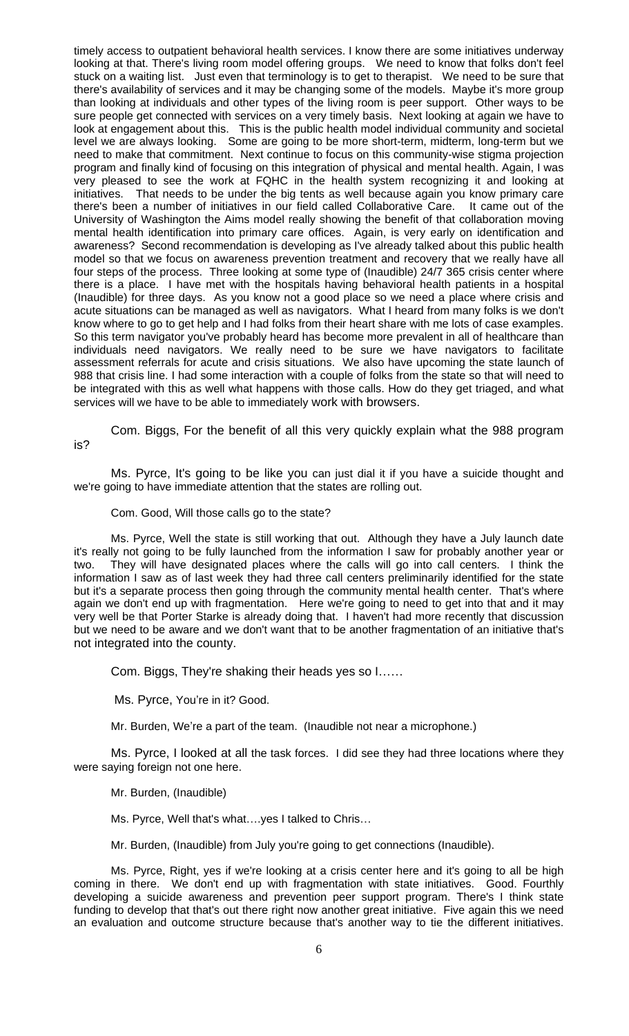timely access to outpatient behavioral health services. I know there are some initiatives underway looking at that. There's living room model offering groups. We need to know that folks don't feel stuck on a waiting list. Just even that terminology is to get to therapist. We need to be sure that there's availability of services and it may be changing some of the models. Maybe it's more group than looking at individuals and other types of the living room is peer support. Other ways to be sure people get connected with services on a very timely basis. Next looking at again we have to look at engagement about this. This is the public health model individual community and societal level we are always looking. Some are going to be more short-term, midterm, long-term but we need to make that commitment. Next continue to focus on this community-wise stigma projection program and finally kind of focusing on this integration of physical and mental health. Again, I was very pleased to see the work at FQHC in the health system recognizing it and looking at initiatives. That needs to be under the big tents as well because again you know primary care there's been a number of initiatives in our field called Collaborative Care. It came out of the University of Washington the Aims model really showing the benefit of that collaboration moving mental health identification into primary care offices. Again, is very early on identification and awareness? Second recommendation is developing as I've already talked about this public health model so that we focus on awareness prevention treatment and recovery that we really have all four steps of the process. Three looking at some type of (Inaudible) 24/7 365 crisis center where there is a place. I have met with the hospitals having behavioral health patients in a hospital (Inaudible) for three days. As you know not a good place so we need a place where crisis and acute situations can be managed as well as navigators. What I heard from many folks is we don't know where to go to get help and I had folks from their heart share with me lots of case examples. So this term navigator you've probably heard has become more prevalent in all of healthcare than individuals need navigators. We really need to be sure we have navigators to facilitate assessment referrals for acute and crisis situations. We also have upcoming the state launch of 988 that crisis line. I had some interaction with a couple of folks from the state so that will need to be integrated with this as well what happens with those calls. How do they get triaged, and what services will we have to be able to immediately work with browsers.

Com. Biggs, For the benefit of all this very quickly explain what the 988 program is?

Ms. Pyrce, It's going to be like you can just dial it if you have a suicide thought and we're going to have immediate attention that the states are rolling out.

Com. Good, Will those calls go to the state?

Ms. Pyrce, Well the state is still working that out. Although they have a July launch date it's really not going to be fully launched from the information I saw for probably another year or two. They will have designated places where the calls will go into call centers. I think the information I saw as of last week they had three call centers preliminarily identified for the state but it's a separate process then going through the community mental health center. That's where again we don't end up with fragmentation. Here we're going to need to get into that and it may very well be that Porter Starke is already doing that. I haven't had more recently that discussion but we need to be aware and we don't want that to be another fragmentation of an initiative that's not integrated into the county.

Com. Biggs, They're shaking their heads yes so I……

Ms. Pyrce, You're in it? Good.

Mr. Burden, We're a part of the team. (Inaudible not near a microphone.)

Ms. Pyrce, I looked at all the task forces. I did see they had three locations where they were saying foreign not one here.

Mr. Burden, (Inaudible)

Ms. Pyrce, Well that's what….yes I talked to Chris…

Mr. Burden, (Inaudible) from July you're going to get connections (Inaudible).

Ms. Pyrce, Right, yes if we're looking at a crisis center here and it's going to all be high coming in there. We don't end up with fragmentation with state initiatives. Good. Fourthly developing a suicide awareness and prevention peer support program. There's I think state funding to develop that that's out there right now another great initiative. Five again this we need an evaluation and outcome structure because that's another way to tie the different initiatives.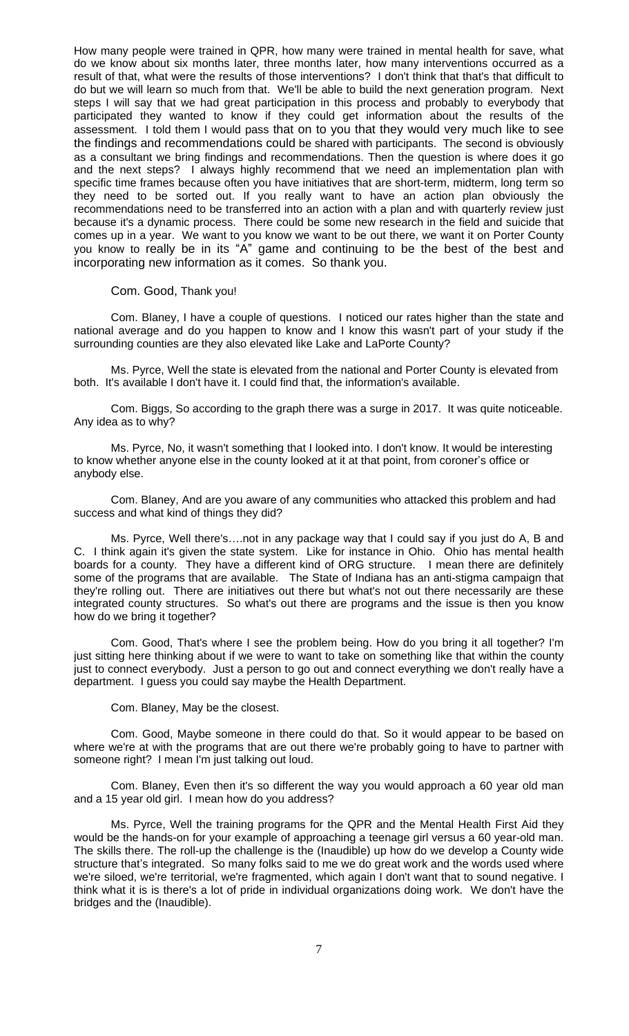How many people were trained in QPR, how many were trained in mental health for save, what do we know about six months later, three months later, how many interventions occurred as a result of that, what were the results of those interventions? I don't think that that's that difficult to do but we will learn so much from that. We'll be able to build the next generation program. Next steps I will say that we had great participation in this process and probably to everybody that participated they wanted to know if they could get information about the results of the assessment. I told them I would pass that on to you that they would very much like to see the findings and recommendations could be shared with participants. The second is obviously as a consultant we bring findings and recommendations. Then the question is where does it go and the next steps? I always highly recommend that we need an implementation plan with specific time frames because often you have initiatives that are short-term, midterm, long term so they need to be sorted out. If you really want to have an action plan obviously the recommendations need to be transferred into an action with a plan and with quarterly review just because it's a dynamic process. There could be some new research in the field and suicide that comes up in a year. We want to you know we want to be out there, we want it on Porter County you know to really be in its "A" game and continuing to be the best of the best and incorporating new information as it comes. So thank you.

### Com. Good, Thank you!

Com. Blaney, I have a couple of questions. I noticed our rates higher than the state and national average and do you happen to know and I know this wasn't part of your study if the surrounding counties are they also elevated like Lake and LaPorte County?

Ms. Pyrce, Well the state is elevated from the national and Porter County is elevated from both. It's available I don't have it. I could find that, the information's available.

Com. Biggs, So according to the graph there was a surge in 2017. It was quite noticeable. Any idea as to why?

Ms. Pyrce, No, it wasn't something that I looked into. I don't know. It would be interesting to know whether anyone else in the county looked at it at that point, from coroner's office or anybody else.

Com. Blaney, And are you aware of any communities who attacked this problem and had success and what kind of things they did?

Ms. Pyrce, Well there's….not in any package way that I could say if you just do A, B and C. I think again it's given the state system. Like for instance in Ohio. Ohio has mental health boards for a county. They have a different kind of ORG structure. I mean there are definitely some of the programs that are available. The State of Indiana has an anti-stigma campaign that they're rolling out. There are initiatives out there but what's not out there necessarily are these integrated county structures. So what's out there are programs and the issue is then you know how do we bring it together?

Com. Good, That's where I see the problem being. How do you bring it all together? I'm just sitting here thinking about if we were to want to take on something like that within the county just to connect everybody. Just a person to go out and connect everything we don't really have a department. I guess you could say maybe the Health Department.

Com. Blaney, May be the closest.

Com. Good, Maybe someone in there could do that. So it would appear to be based on where we're at with the programs that are out there we're probably going to have to partner with someone right? I mean I'm just talking out loud.

Com. Blaney, Even then it's so different the way you would approach a 60 year old man and a 15 year old girl. I mean how do you address?

Ms. Pyrce, Well the training programs for the QPR and the Mental Health First Aid they would be the hands-on for your example of approaching a teenage girl versus a 60 year-old man. The skills there. The roll-up the challenge is the (Inaudible) up how do we develop a County wide structure that's integrated. So many folks said to me we do great work and the words used where we're siloed, we're territorial, we're fragmented, which again I don't want that to sound negative. I think what it is is there's a lot of pride in individual organizations doing work. We don't have the bridges and the (Inaudible).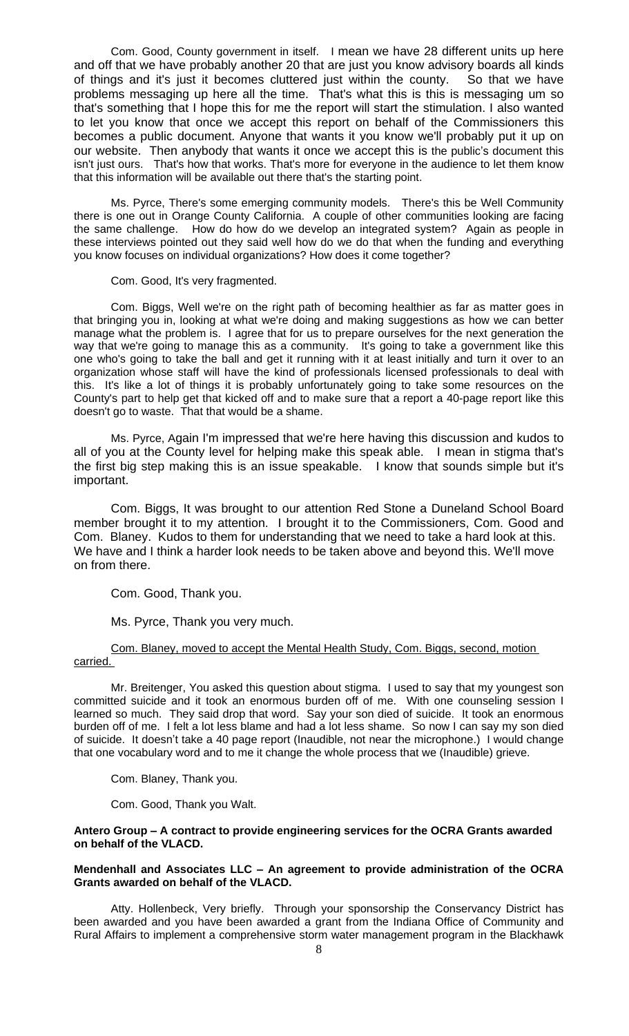Com. Good, County government in itself. I mean we have 28 different units up here and off that we have probably another 20 that are just you know advisory boards all kinds of things and it's just it becomes cluttered just within the county. So that we have problems messaging up here all the time. That's what this is this is messaging um so that's something that I hope this for me the report will start the stimulation. I also wanted to let you know that once we accept this report on behalf of the Commissioners this becomes a public document. Anyone that wants it you know we'll probably put it up on our website. Then anybody that wants it once we accept this is the public's document this isn't just ours. That's how that works. That's more for everyone in the audience to let them know that this information will be available out there that's the starting point.

Ms. Pyrce, There's some emerging community models. There's this be Well Community there is one out in Orange County California. A couple of other communities looking are facing the same challenge. How do how do we develop an integrated system? Again as people in these interviews pointed out they said well how do we do that when the funding and everything you know focuses on individual organizations? How does it come together?

#### Com. Good, It's very fragmented.

Com. Biggs, Well we're on the right path of becoming healthier as far as matter goes in that bringing you in, looking at what we're doing and making suggestions as how we can better manage what the problem is. I agree that for us to prepare ourselves for the next generation the way that we're going to manage this as a community. It's going to take a government like this one who's going to take the ball and get it running with it at least initially and turn it over to an organization whose staff will have the kind of professionals licensed professionals to deal with this. It's like a lot of things it is probably unfortunately going to take some resources on the County's part to help get that kicked off and to make sure that a report a 40-page report like this doesn't go to waste. That that would be a shame.

Ms. Pyrce, Again I'm impressed that we're here having this discussion and kudos to all of you at the County level for helping make this speak able. I mean in stigma that's the first big step making this is an issue speakable. I know that sounds simple but it's important.

Com. Biggs, It was brought to our attention Red Stone a Duneland School Board member brought it to my attention. I brought it to the Commissioners, Com. Good and Com. Blaney. Kudos to them for understanding that we need to take a hard look at this. We have and I think a harder look needs to be taken above and beyond this. We'll move on from there.

Com. Good, Thank you.

Ms. Pyrce, Thank you very much.

### Com. Blaney, moved to accept the Mental Health Study, Com. Biggs, second, motion carried.

Mr. Breitenger, You asked this question about stigma. I used to say that my youngest son committed suicide and it took an enormous burden off of me. With one counseling session I learned so much. They said drop that word. Say your son died of suicide. It took an enormous burden off of me. I felt a lot less blame and had a lot less shame. So now I can say my son died of suicide. It doesn't take a 40 page report (Inaudible, not near the microphone.) I would change that one vocabulary word and to me it change the whole process that we (Inaudible) grieve.

Com. Blaney, Thank you.

Com. Good, Thank you Walt.

## **Antero Group – A contract to provide engineering services for the OCRA Grants awarded on behalf of the VLACD.**

### **Mendenhall and Associates LLC – An agreement to provide administration of the OCRA Grants awarded on behalf of the VLACD.**

Atty. Hollenbeck, Very briefly. Through your sponsorship the Conservancy District has been awarded and you have been awarded a grant from the Indiana Office of Community and Rural Affairs to implement a comprehensive storm water management program in the Blackhawk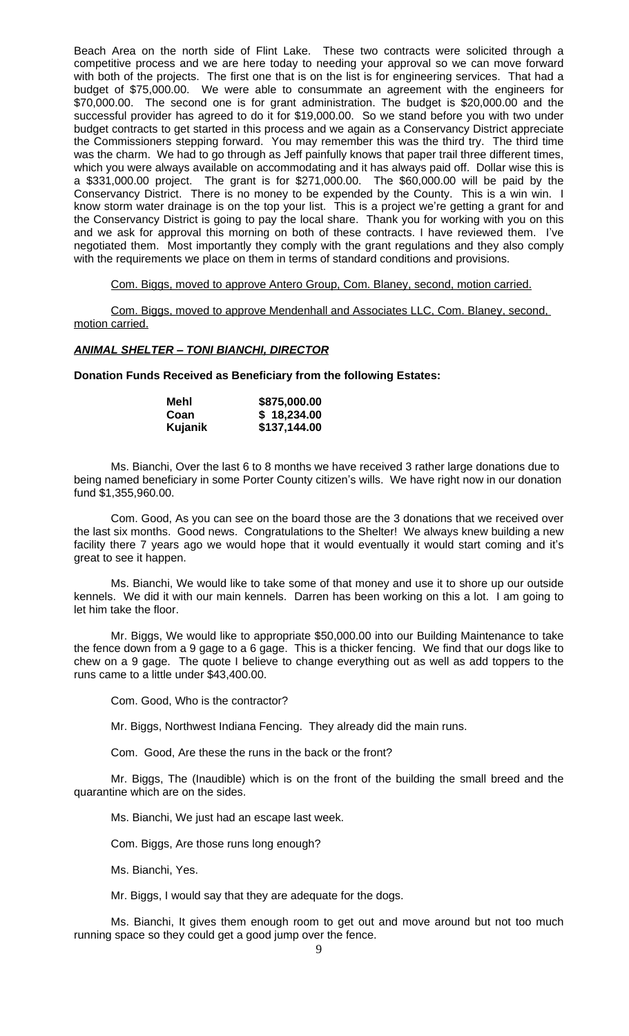Beach Area on the north side of Flint Lake. These two contracts were solicited through a competitive process and we are here today to needing your approval so we can move forward with both of the projects. The first one that is on the list is for engineering services. That had a budget of \$75,000.00. We were able to consummate an agreement with the engineers for \$70,000.00. The second one is for grant administration. The budget is \$20,000.00 and the successful provider has agreed to do it for \$19,000.00. So we stand before you with two under budget contracts to get started in this process and we again as a Conservancy District appreciate the Commissioners stepping forward. You may remember this was the third try. The third time was the charm. We had to go through as Jeff painfully knows that paper trail three different times, which you were always available on accommodating and it has always paid off. Dollar wise this is a \$331,000.00 project. The grant is for \$271,000.00. The \$60,000.00 will be paid by the Conservancy District. There is no money to be expended by the County. This is a win win. I know storm water drainage is on the top your list. This is a project we're getting a grant for and the Conservancy District is going to pay the local share. Thank you for working with you on this and we ask for approval this morning on both of these contracts. I have reviewed them. I've negotiated them. Most importantly they comply with the grant regulations and they also comply with the requirements we place on them in terms of standard conditions and provisions.

Com. Biggs, moved to approve Antero Group, Com. Blaney, second, motion carried.

Com. Biggs, moved to approve Mendenhall and Associates LLC, Com. Blaney, second, motion carried.

### *ANIMAL SHELTER – TONI BIANCHI, DIRECTOR*

**Donation Funds Received as Beneficiary from the following Estates:**

| Mehl    | \$875,000.00 |
|---------|--------------|
| Coan    | \$18,234.00  |
| Kujanik | \$137,144.00 |

Ms. Bianchi, Over the last 6 to 8 months we have received 3 rather large donations due to being named beneficiary in some Porter County citizen's wills. We have right now in our donation fund \$1,355,960.00.

Com. Good, As you can see on the board those are the 3 donations that we received over the last six months. Good news. Congratulations to the Shelter! We always knew building a new facility there 7 years ago we would hope that it would eventually it would start coming and it's great to see it happen.

Ms. Bianchi, We would like to take some of that money and use it to shore up our outside kennels. We did it with our main kennels. Darren has been working on this a lot. I am going to let him take the floor.

Mr. Biggs, We would like to appropriate \$50,000.00 into our Building Maintenance to take the fence down from a 9 gage to a 6 gage. This is a thicker fencing. We find that our dogs like to chew on a 9 gage. The quote I believe to change everything out as well as add toppers to the runs came to a little under \$43,400.00.

Com. Good, Who is the contractor?

Mr. Biggs, Northwest Indiana Fencing. They already did the main runs.

Com. Good, Are these the runs in the back or the front?

Mr. Biggs, The (Inaudible) which is on the front of the building the small breed and the quarantine which are on the sides.

Ms. Bianchi, We just had an escape last week.

Com. Biggs, Are those runs long enough?

Ms. Bianchi, Yes.

Mr. Biggs, I would say that they are adequate for the dogs.

Ms. Bianchi, It gives them enough room to get out and move around but not too much running space so they could get a good jump over the fence.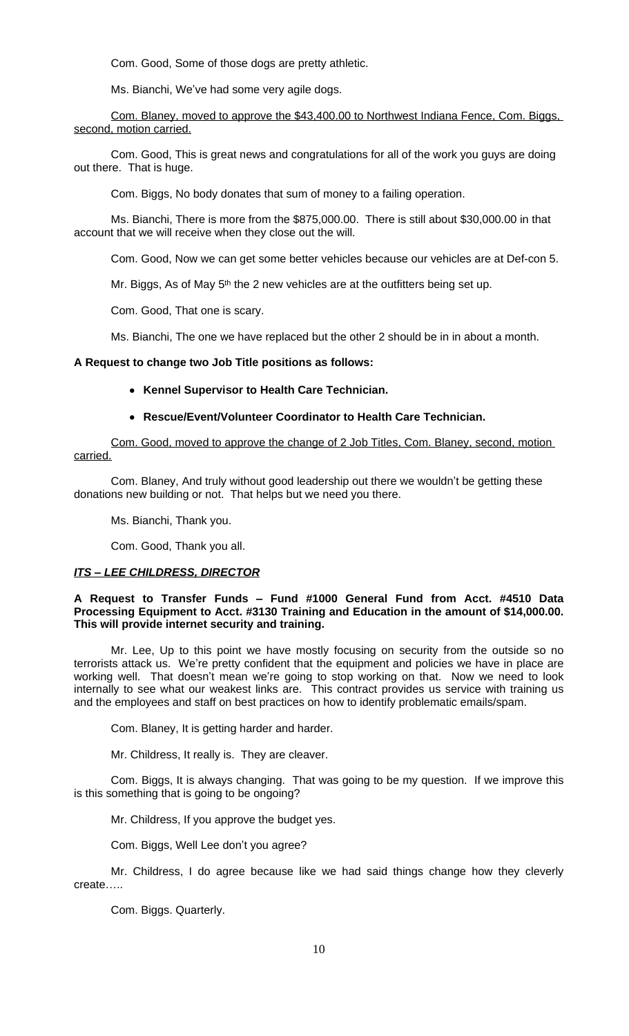Com. Good, Some of those dogs are pretty athletic.

Ms. Bianchi, We've had some very agile dogs.

Com. Blaney, moved to approve the \$43,400.00 to Northwest Indiana Fence, Com. Biggs, second, motion carried.

Com. Good, This is great news and congratulations for all of the work you guys are doing out there. That is huge.

Com. Biggs, No body donates that sum of money to a failing operation.

Ms. Bianchi, There is more from the \$875,000.00. There is still about \$30,000.00 in that account that we will receive when they close out the will.

Com. Good, Now we can get some better vehicles because our vehicles are at Def-con 5.

Mr. Biggs, As of May  $5<sup>th</sup>$  the 2 new vehicles are at the outfitters being set up.

Com. Good, That one is scary.

Ms. Bianchi, The one we have replaced but the other 2 should be in in about a month.

### **A Request to change two Job Title positions as follows:**

- **Kennel Supervisor to Health Care Technician.**
- **Rescue/Event/Volunteer Coordinator to Health Care Technician.**

Com. Good, moved to approve the change of 2 Job Titles, Com. Blaney, second, motion carried.

Com. Blaney, And truly without good leadership out there we wouldn't be getting these donations new building or not. That helps but we need you there.

Ms. Bianchi, Thank you.

Com. Good, Thank you all.

#### *ITS – LEE CHILDRESS, DIRECTOR*

## **A Request to Transfer Funds – Fund #1000 General Fund from Acct. #4510 Data Processing Equipment to Acct. #3130 Training and Education in the amount of \$14,000.00. This will provide internet security and training.**

Mr. Lee, Up to this point we have mostly focusing on security from the outside so no terrorists attack us. We're pretty confident that the equipment and policies we have in place are working well. That doesn't mean we're going to stop working on that. Now we need to look internally to see what our weakest links are. This contract provides us service with training us and the employees and staff on best practices on how to identify problematic emails/spam.

Com. Blaney, It is getting harder and harder.

Mr. Childress, It really is. They are cleaver.

Com. Biggs, It is always changing. That was going to be my question. If we improve this is this something that is going to be ongoing?

Mr. Childress, If you approve the budget yes.

Com. Biggs, Well Lee don't you agree?

Mr. Childress, I do agree because like we had said things change how they cleverly create…..

Com. Biggs. Quarterly.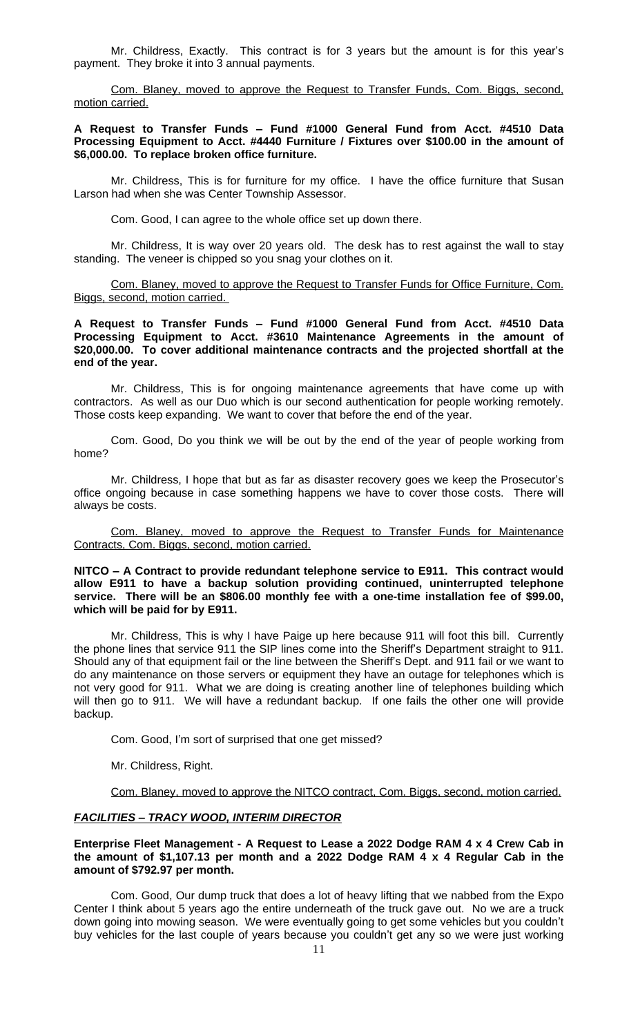Mr. Childress, Exactly. This contract is for 3 years but the amount is for this year's payment. They broke it into 3 annual payments.

Com. Blaney, moved to approve the Request to Transfer Funds, Com. Biggs, second, motion carried.

### **A Request to Transfer Funds – Fund #1000 General Fund from Acct. #4510 Data Processing Equipment to Acct. #4440 Furniture / Fixtures over \$100.00 in the amount of \$6,000.00. To replace broken office furniture.**

Mr. Childress, This is for furniture for my office. I have the office furniture that Susan Larson had when she was Center Township Assessor.

Com. Good, I can agree to the whole office set up down there.

Mr. Childress, It is way over 20 years old. The desk has to rest against the wall to stay standing. The veneer is chipped so you snag your clothes on it.

Com. Blaney, moved to approve the Request to Transfer Funds for Office Furniture, Com. Biggs, second, motion carried.

### **A Request to Transfer Funds – Fund #1000 General Fund from Acct. #4510 Data Processing Equipment to Acct. #3610 Maintenance Agreements in the amount of \$20,000.00. To cover additional maintenance contracts and the projected shortfall at the end of the year.**

Mr. Childress, This is for ongoing maintenance agreements that have come up with contractors. As well as our Duo which is our second authentication for people working remotely. Those costs keep expanding. We want to cover that before the end of the year.

Com. Good, Do you think we will be out by the end of the year of people working from home?

Mr. Childress, I hope that but as far as disaster recovery goes we keep the Prosecutor's office ongoing because in case something happens we have to cover those costs. There will always be costs.

Com. Blaney, moved to approve the Request to Transfer Funds for Maintenance Contracts, Com. Biggs, second, motion carried.

### **NITCO – A Contract to provide redundant telephone service to E911. This contract would allow E911 to have a backup solution providing continued, uninterrupted telephone service. There will be an \$806.00 monthly fee with a one-time installation fee of \$99.00, which will be paid for by E911.**

Mr. Childress, This is why I have Paige up here because 911 will foot this bill. Currently the phone lines that service 911 the SIP lines come into the Sheriff's Department straight to 911. Should any of that equipment fail or the line between the Sheriff's Dept. and 911 fail or we want to do any maintenance on those servers or equipment they have an outage for telephones which is not very good for 911. What we are doing is creating another line of telephones building which will then go to 911. We will have a redundant backup. If one fails the other one will provide backup.

Com. Good, I'm sort of surprised that one get missed?

Mr. Childress, Right.

Com. Blaney, moved to approve the NITCO contract, Com. Biggs, second, motion carried.

#### *FACILITIES – TRACY WOOD, INTERIM DIRECTOR*

### **Enterprise Fleet Management - A Request to Lease a 2022 Dodge RAM 4 x 4 Crew Cab in the amount of \$1,107.13 per month and a 2022 Dodge RAM 4 x 4 Regular Cab in the amount of \$792.97 per month.**

Com. Good, Our dump truck that does a lot of heavy lifting that we nabbed from the Expo Center I think about 5 years ago the entire underneath of the truck gave out. No we are a truck down going into mowing season. We were eventually going to get some vehicles but you couldn't buy vehicles for the last couple of years because you couldn't get any so we were just working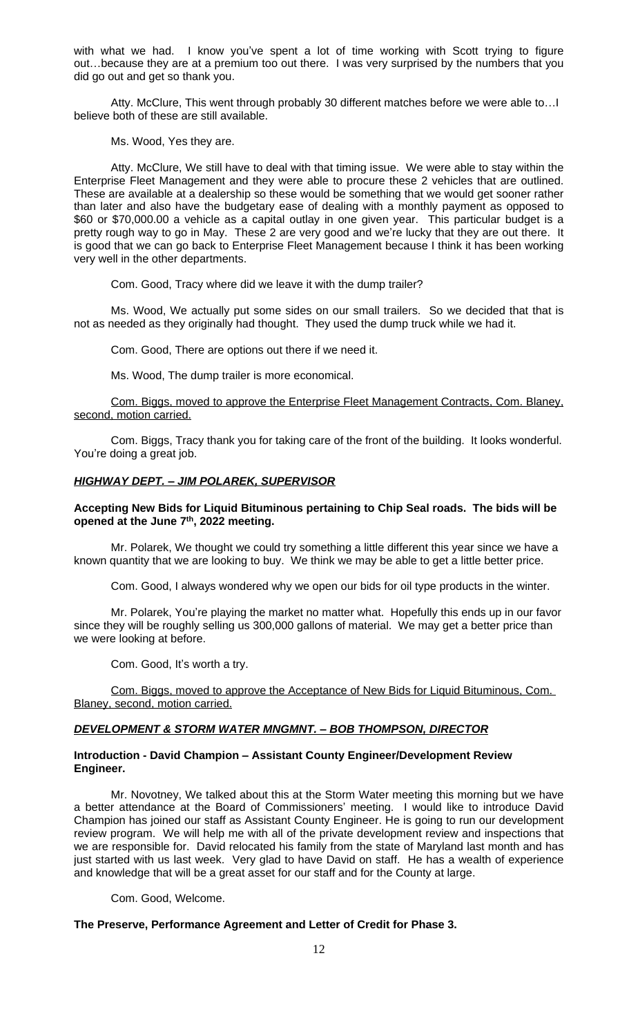with what we had. I know you've spent a lot of time working with Scott trying to figure out…because they are at a premium too out there. I was very surprised by the numbers that you did go out and get so thank you.

Atty. McClure, This went through probably 30 different matches before we were able to…I believe both of these are still available.

Ms. Wood, Yes they are.

Atty. McClure, We still have to deal with that timing issue. We were able to stay within the Enterprise Fleet Management and they were able to procure these 2 vehicles that are outlined. These are available at a dealership so these would be something that we would get sooner rather than later and also have the budgetary ease of dealing with a monthly payment as opposed to \$60 or \$70,000.00 a vehicle as a capital outlay in one given year. This particular budget is a pretty rough way to go in May. These 2 are very good and we're lucky that they are out there. It is good that we can go back to Enterprise Fleet Management because I think it has been working very well in the other departments.

Com. Good, Tracy where did we leave it with the dump trailer?

Ms. Wood, We actually put some sides on our small trailers. So we decided that that is not as needed as they originally had thought. They used the dump truck while we had it.

Com. Good, There are options out there if we need it.

Ms. Wood, The dump trailer is more economical.

Com. Biggs, moved to approve the Enterprise Fleet Management Contracts, Com. Blaney, second, motion carried.

Com. Biggs, Tracy thank you for taking care of the front of the building. It looks wonderful. You're doing a great job.

### *HIGHWAY DEPT. – JIM POLAREK, SUPERVISOR*

# **Accepting New Bids for Liquid Bituminous pertaining to Chip Seal roads. The bids will be opened at the June 7th, 2022 meeting.**

Mr. Polarek, We thought we could try something a little different this year since we have a known quantity that we are looking to buy. We think we may be able to get a little better price.

Com. Good, I always wondered why we open our bids for oil type products in the winter.

Mr. Polarek, You're playing the market no matter what. Hopefully this ends up in our favor since they will be roughly selling us 300,000 gallons of material. We may get a better price than we were looking at before.

Com. Good, It's worth a try.

Com. Biggs, moved to approve the Acceptance of New Bids for Liquid Bituminous, Com. Blaney, second, motion carried.

### *DEVELOPMENT & STORM WATER MNGMNT. – BOB THOMPSON, DIRECTOR*

### **Introduction - David Champion – Assistant County Engineer/Development Review Engineer.**

Mr. Novotney, We talked about this at the Storm Water meeting this morning but we have a better attendance at the Board of Commissioners' meeting. I would like to introduce David Champion has joined our staff as Assistant County Engineer. He is going to run our development review program. We will help me with all of the private development review and inspections that we are responsible for. David relocated his family from the state of Maryland last month and has just started with us last week. Very glad to have David on staff. He has a wealth of experience and knowledge that will be a great asset for our staff and for the County at large.

Com. Good, Welcome.

### **The Preserve, Performance Agreement and Letter of Credit for Phase 3.**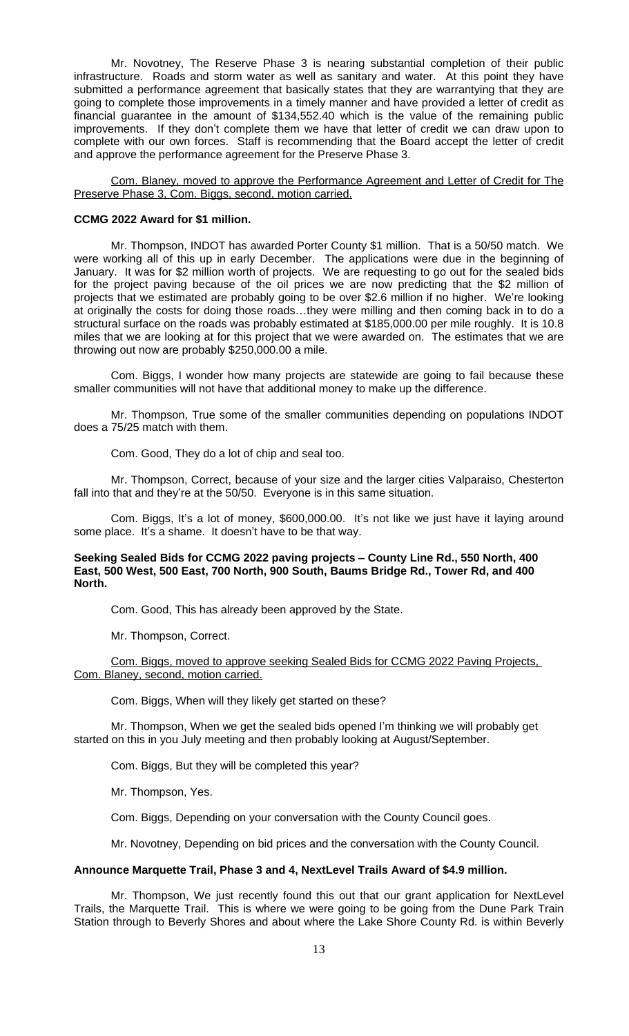Mr. Novotney, The Reserve Phase 3 is nearing substantial completion of their public infrastructure. Roads and storm water as well as sanitary and water. At this point they have submitted a performance agreement that basically states that they are warrantying that they are going to complete those improvements in a timely manner and have provided a letter of credit as financial guarantee in the amount of \$134,552.40 which is the value of the remaining public improvements. If they don't complete them we have that letter of credit we can draw upon to complete with our own forces. Staff is recommending that the Board accept the letter of credit and approve the performance agreement for the Preserve Phase 3.

Com. Blaney, moved to approve the Performance Agreement and Letter of Credit for The Preserve Phase 3, Com. Biggs, second, motion carried.

## **CCMG 2022 Award for \$1 million.**

Mr. Thompson, INDOT has awarded Porter County \$1 million. That is a 50/50 match. We were working all of this up in early December. The applications were due in the beginning of January. It was for \$2 million worth of projects. We are requesting to go out for the sealed bids for the project paving because of the oil prices we are now predicting that the \$2 million of projects that we estimated are probably going to be over \$2.6 million if no higher. We're looking at originally the costs for doing those roads…they were milling and then coming back in to do a structural surface on the roads was probably estimated at \$185,000.00 per mile roughly. It is 10.8 miles that we are looking at for this project that we were awarded on. The estimates that we are throwing out now are probably \$250,000.00 a mile.

Com. Biggs, I wonder how many projects are statewide are going to fail because these smaller communities will not have that additional money to make up the difference.

Mr. Thompson, True some of the smaller communities depending on populations INDOT does a 75/25 match with them.

Com. Good, They do a lot of chip and seal too.

Mr. Thompson, Correct, because of your size and the larger cities Valparaiso, Chesterton fall into that and they're at the 50/50. Everyone is in this same situation.

Com. Biggs, It's a lot of money, \$600,000.00. It's not like we just have it laying around some place. It's a shame. It doesn't have to be that way.

### **Seeking Sealed Bids for CCMG 2022 paving projects – County Line Rd., 550 North, 400 East, 500 West, 500 East, 700 North, 900 South, Baums Bridge Rd., Tower Rd, and 400 North.**

Com. Good, This has already been approved by the State.

Mr. Thompson, Correct.

Com. Biggs, moved to approve seeking Sealed Bids for CCMG 2022 Paving Projects, Com. Blaney, second, motion carried.

Com. Biggs, When will they likely get started on these?

Mr. Thompson, When we get the sealed bids opened I'm thinking we will probably get started on this in you July meeting and then probably looking at August/September.

Com. Biggs, But they will be completed this year?

Mr. Thompson, Yes.

Com. Biggs, Depending on your conversation with the County Council goes.

Mr. Novotney, Depending on bid prices and the conversation with the County Council.

#### **Announce Marquette Trail, Phase 3 and 4, NextLevel Trails Award of \$4.9 million.**

Mr. Thompson, We just recently found this out that our grant application for NextLevel Trails, the Marquette Trail. This is where we were going to be going from the Dune Park Train Station through to Beverly Shores and about where the Lake Shore County Rd. is within Beverly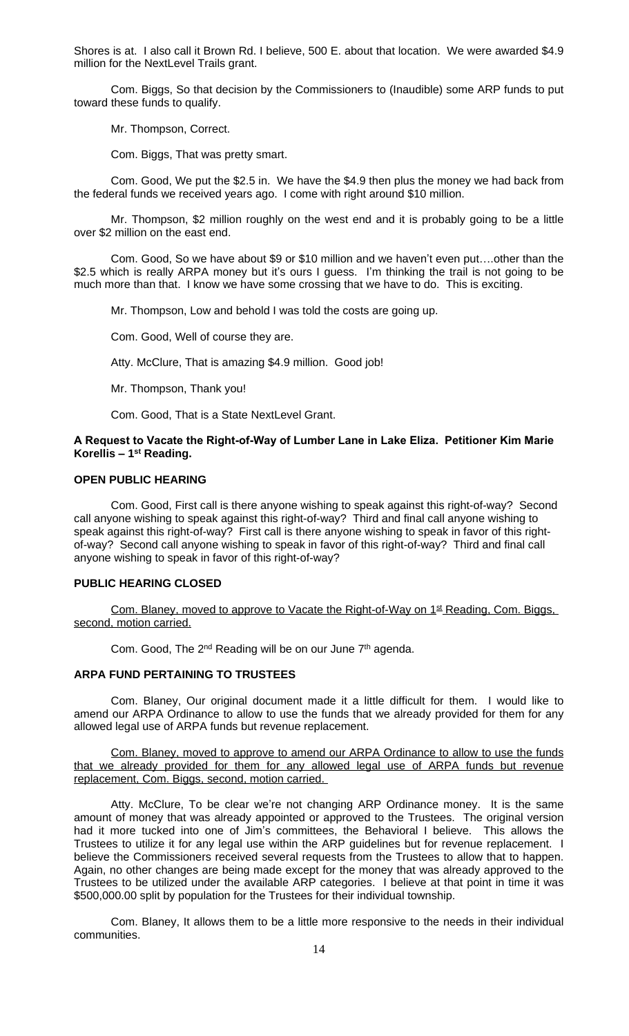Shores is at. I also call it Brown Rd. I believe, 500 E. about that location. We were awarded \$4.9 million for the NextLevel Trails grant.

Com. Biggs, So that decision by the Commissioners to (Inaudible) some ARP funds to put toward these funds to qualify.

Mr. Thompson, Correct.

Com. Biggs, That was pretty smart.

Com. Good, We put the \$2.5 in. We have the \$4.9 then plus the money we had back from the federal funds we received years ago. I come with right around \$10 million.

Mr. Thompson, \$2 million roughly on the west end and it is probably going to be a little over \$2 million on the east end.

Com. Good, So we have about \$9 or \$10 million and we haven't even put….other than the \$2.5 which is really ARPA money but it's ours I guess. I'm thinking the trail is not going to be much more than that. I know we have some crossing that we have to do. This is exciting.

Mr. Thompson, Low and behold I was told the costs are going up.

Com. Good, Well of course they are.

Atty. McClure, That is amazing \$4.9 million. Good job!

Mr. Thompson, Thank you!

Com. Good, That is a State NextLevel Grant.

## **A Request to Vacate the Right-of-Way of Lumber Lane in Lake Eliza. Petitioner Kim Marie Korellis – 1st Reading.**

### **OPEN PUBLIC HEARING**

Com. Good, First call is there anyone wishing to speak against this right-of-way? Second call anyone wishing to speak against this right-of-way? Third and final call anyone wishing to speak against this right-of-way? First call is there anyone wishing to speak in favor of this rightof-way? Second call anyone wishing to speak in favor of this right-of-way? Third and final call anyone wishing to speak in favor of this right-of-way?

#### **PUBLIC HEARING CLOSED**

Com. Blaney, moved to approve to Vacate the Right-of-Way on 1<sup>st</sup> Reading, Com. Biggs, second, motion carried.

Com. Good, The 2<sup>nd</sup> Reading will be on our June 7<sup>th</sup> agenda.

### **ARPA FUND PERTAINING TO TRUSTEES**

Com. Blaney, Our original document made it a little difficult for them. I would like to amend our ARPA Ordinance to allow to use the funds that we already provided for them for any allowed legal use of ARPA funds but revenue replacement.

Com. Blaney, moved to approve to amend our ARPA Ordinance to allow to use the funds that we already provided for them for any allowed legal use of ARPA funds but revenue replacement, Com. Biggs, second, motion carried.

Atty. McClure, To be clear we're not changing ARP Ordinance money. It is the same amount of money that was already appointed or approved to the Trustees. The original version had it more tucked into one of Jim's committees, the Behavioral I believe. This allows the Trustees to utilize it for any legal use within the ARP guidelines but for revenue replacement. I believe the Commissioners received several requests from the Trustees to allow that to happen. Again, no other changes are being made except for the money that was already approved to the Trustees to be utilized under the available ARP categories. I believe at that point in time it was \$500,000.00 split by population for the Trustees for their individual township.

Com. Blaney, It allows them to be a little more responsive to the needs in their individual communities.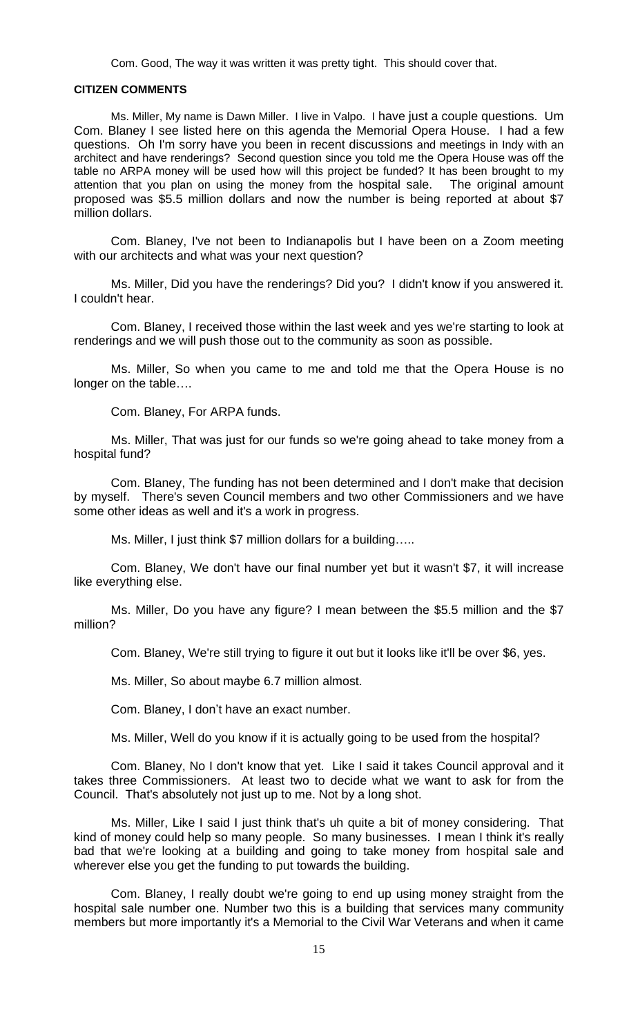Com. Good, The way it was written it was pretty tight. This should cover that.

## **CITIZEN COMMENTS**

Ms. Miller, My name is Dawn Miller. I live in Valpo. I have just a couple questions. Um Com. Blaney I see listed here on this agenda the Memorial Opera House. I had a few questions. Oh I'm sorry have you been in recent discussions and meetings in Indy with an architect and have renderings? Second question since you told me the Opera House was off the table no ARPA money will be used how will this project be funded? It has been brought to my attention that you plan on using the money from the hospital sale. The original amount proposed was \$5.5 million dollars and now the number is being reported at about \$7 million dollars.

Com. Blaney, I've not been to Indianapolis but I have been on a Zoom meeting with our architects and what was your next question?

Ms. Miller, Did you have the renderings? Did you? I didn't know if you answered it. I couldn't hear.

Com. Blaney, I received those within the last week and yes we're starting to look at renderings and we will push those out to the community as soon as possible.

Ms. Miller, So when you came to me and told me that the Opera House is no longer on the table….

Com. Blaney, For ARPA funds.

Ms. Miller, That was just for our funds so we're going ahead to take money from a hospital fund?

Com. Blaney, The funding has not been determined and I don't make that decision by myself. There's seven Council members and two other Commissioners and we have some other ideas as well and it's a work in progress.

Ms. Miller, I just think \$7 million dollars for a building…..

Com. Blaney, We don't have our final number yet but it wasn't \$7, it will increase like everything else.

Ms. Miller, Do you have any figure? I mean between the \$5.5 million and the \$7 million?

Com. Blaney, We're still trying to figure it out but it looks like it'll be over \$6, yes.

Ms. Miller, So about maybe 6.7 million almost.

Com. Blaney, I don't have an exact number.

Ms. Miller, Well do you know if it is actually going to be used from the hospital?

Com. Blaney, No I don't know that yet. Like I said it takes Council approval and it takes three Commissioners. At least two to decide what we want to ask for from the Council. That's absolutely not just up to me. Not by a long shot.

Ms. Miller, Like I said I just think that's uh quite a bit of money considering. That kind of money could help so many people. So many businesses. I mean I think it's really bad that we're looking at a building and going to take money from hospital sale and wherever else you get the funding to put towards the building.

Com. Blaney, I really doubt we're going to end up using money straight from the hospital sale number one. Number two this is a building that services many community members but more importantly it's a Memorial to the Civil War Veterans and when it came